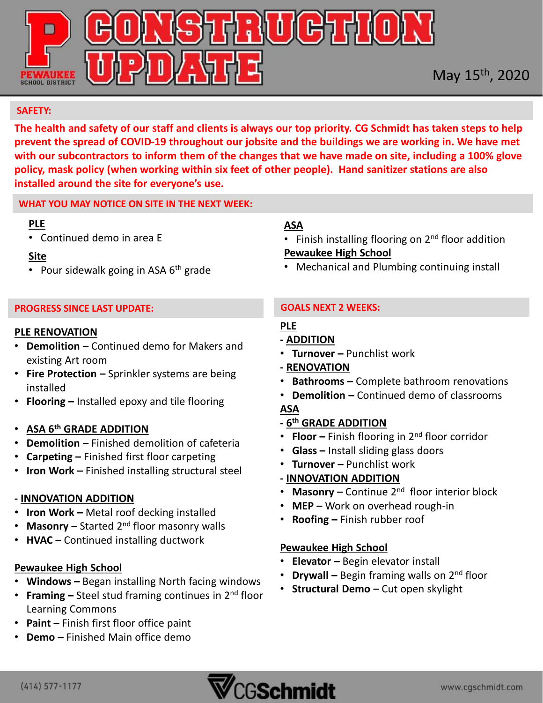

#### **SAFETY:**

**The health and safety of our staff and clients is always our top priority. CG Schmidt has taken steps to help prevent the spread of COVID-19 throughout our jobsite and the buildings we are working in. We have met with our subcontractors to inform them of the changes that we have made on site, including a 100% glove policy, mask policy (when working within six feet of other people). Hand sanitizer stations are also installed around the site for everyone's use.** 

#### **WHAT YOU MAY NOTICE ON SITE IN THE NEXT WEEK:**

#### **PLE**

• Continued demo in area E

## **Site**

• Pour sidewalk going in ASA  $6<sup>th</sup>$  grade

## **PROGRESS SINCE LAST UPDATE:**

#### **PLE RENOVATION**

- **Demolition –** Continued demo for Makers and existing Art room
- **Fire Protection –** Sprinkler systems are being installed
- **Flooring –** Installed epoxy and tile flooring

## • **ASA 6th GRADE ADDITION**

- **Demolition –** Finished demolition of cafeteria
- **Carpeting –** Finished first floor carpeting
- **Iron Work –** Finished installing structural steel

## **- INNOVATION ADDITION**

- **Iron Work –** Metal roof decking installed
- **Masonry –** Started 2nd floor masonry walls
- **HVAC –** Continued installing ductwork

## **Pewaukee High School**

- **Windows –** Began installing North facing windows
- **Framing –** Steel stud framing continues in 2nd floor Learning Commons
- **Paint –** Finish first floor office paint
- **Demo –** Finished Main office demo

## **ASA**

- Finish installing flooring on  $2<sup>nd</sup>$  floor addition **Pewaukee High School**
- Mechanical and Plumbing continuing install

## **GOALS NEXT 2 WEEKS:**

## **PLE**

- **- ADDITION**
- **Turnover –** Punchlist work
- **- RENOVATION**
- **Bathrooms –** Complete bathroom renovations
- **Demolition –** Continued demo of classrooms

## **ASA**

## **- 6 th GRADE ADDITION**

- **Floor –** Finish flooring in 2nd floor corridor
- **Glass –** Install sliding glass doors
- **Turnover –** Punchlist work

## **- INNOVATION ADDITION**

- **Masonry –** Continue 2nd floor interior block
- **MEP –** Work on overhead rough-in
- **Roofing –** Finish rubber roof

## **Pewaukee High School**

- **Elevator –** Begin elevator install
- **Drywall –** Begin framing walls on 2nd floor
- **Structural Demo –** Cut open skylight

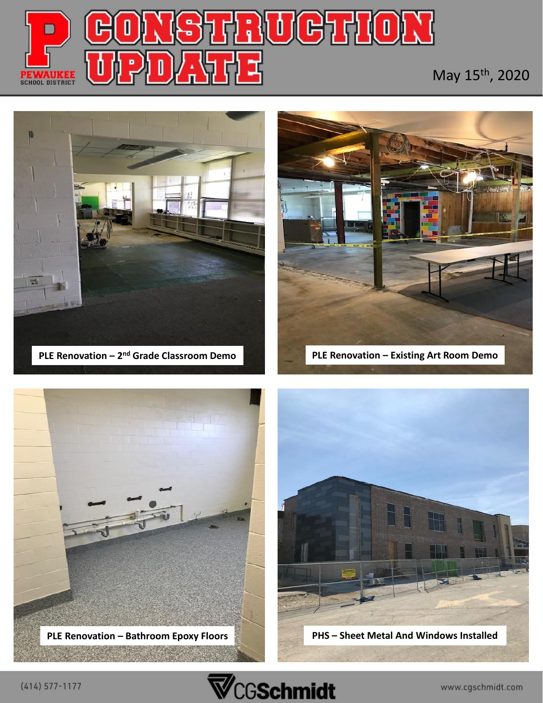

# May 15th, 2020